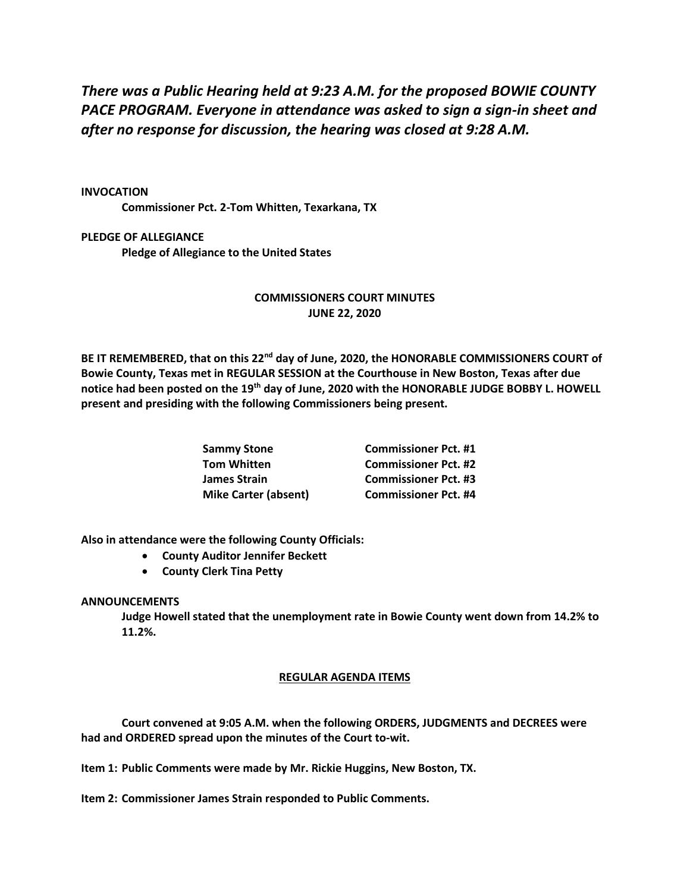*There was a Public Hearing held at 9:23 A.M. for the proposed BOWIE COUNTY PACE PROGRAM. Everyone in attendance was asked to sign a sign-in sheet and after no response for discussion, the hearing was closed at 9:28 A.M.*

## **INVOCATION**

**Commissioner Pct. 2-Tom Whitten, Texarkana, TX**

**PLEDGE OF ALLEGIANCE Pledge of Allegiance to the United States**

## **COMMISSIONERS COURT MINUTES JUNE 22, 2020**

**BE IT REMEMBERED, that on this 22nd day of June, 2020, the HONORABLE COMMISSIONERS COURT of Bowie County, Texas met in REGULAR SESSION at the Courthouse in New Boston, Texas after due notice had been posted on the 19th day of June, 2020 with the HONORABLE JUDGE BOBBY L. HOWELL present and presiding with the following Commissioners being present.**

| <b>Sammy Stone</b>          | <b>Commissioner Pct. #1</b> |
|-----------------------------|-----------------------------|
| <b>Tom Whitten</b>          | <b>Commissioner Pct. #2</b> |
| <b>James Strain</b>         | <b>Commissioner Pct. #3</b> |
| <b>Mike Carter (absent)</b> | <b>Commissioner Pct. #4</b> |

**Also in attendance were the following County Officials:**

- **County Auditor Jennifer Beckett**
- **County Clerk Tina Petty**

## **ANNOUNCEMENTS**

**Judge Howell stated that the unemployment rate in Bowie County went down from 14.2% to 11.2%.**

## **REGULAR AGENDA ITEMS**

**Court convened at 9:05 A.M. when the following ORDERS, JUDGMENTS and DECREES were had and ORDERED spread upon the minutes of the Court to-wit.**

**Item 1: Public Comments were made by Mr. Rickie Huggins, New Boston, TX.**

**Item 2: Commissioner James Strain responded to Public Comments.**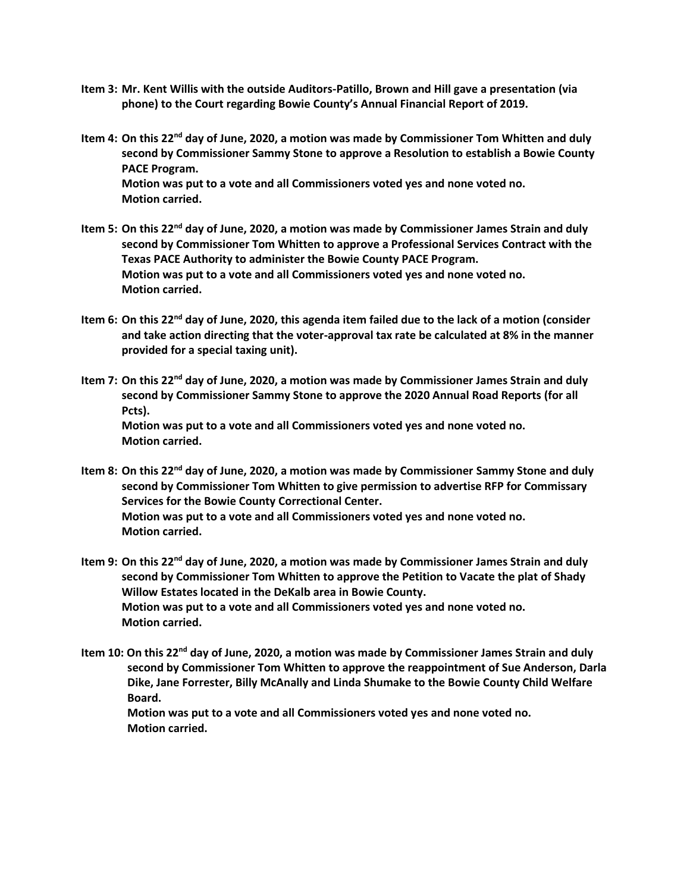- **Item 3: Mr. Kent Willis with the outside Auditors-Patillo, Brown and Hill gave a presentation (via phone) to the Court regarding Bowie County's Annual Financial Report of 2019.**
- **Item 4: On this 22nd day of June, 2020, a motion was made by Commissioner Tom Whitten and duly second by Commissioner Sammy Stone to approve a Resolution to establish a Bowie County PACE Program. Motion was put to a vote and all Commissioners voted yes and none voted no. Motion carried.**
- **Item 5: On this 22nd day of June, 2020, a motion was made by Commissioner James Strain and duly second by Commissioner Tom Whitten to approve a Professional Services Contract with the Texas PACE Authority to administer the Bowie County PACE Program. Motion was put to a vote and all Commissioners voted yes and none voted no. Motion carried.**
- **Item 6: On this 22nd day of June, 2020, this agenda item failed due to the lack of a motion (consider and take action directing that the voter-approval tax rate be calculated at 8% in the manner provided for a special taxing unit).**
- **Item 7: On this 22nd day of June, 2020, a motion was made by Commissioner James Strain and duly second by Commissioner Sammy Stone to approve the 2020 Annual Road Reports (for all Pcts). Motion was put to a vote and all Commissioners voted yes and none voted no. Motion carried.**
- **Item 8: On this 22nd day of June, 2020, a motion was made by Commissioner Sammy Stone and duly second by Commissioner Tom Whitten to give permission to advertise RFP for Commissary Services for the Bowie County Correctional Center. Motion was put to a vote and all Commissioners voted yes and none voted no. Motion carried.**
- **Item 9: On this 22nd day of June, 2020, a motion was made by Commissioner James Strain and duly second by Commissioner Tom Whitten to approve the Petition to Vacate the plat of Shady Willow Estates located in the DeKalb area in Bowie County. Motion was put to a vote and all Commissioners voted yes and none voted no. Motion carried.**
- **Item 10: On this 22nd day of June, 2020, a motion was made by Commissioner James Strain and duly second by Commissioner Tom Whitten to approve the reappointment of Sue Anderson, Darla Dike, Jane Forrester, Billy McAnally and Linda Shumake to the Bowie County Child Welfare Board.**

 **Motion was put to a vote and all Commissioners voted yes and none voted no. Motion carried.**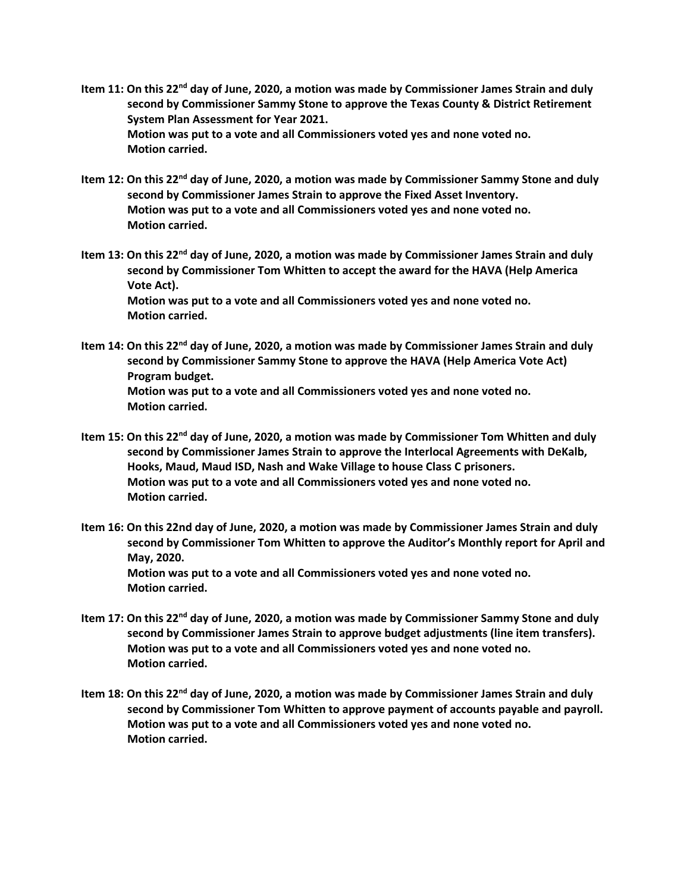- **Item 11: On this 22nd day of June, 2020, a motion was made by Commissioner James Strain and duly second by Commissioner Sammy Stone to approve the Texas County & District Retirement System Plan Assessment for Year 2021. Motion was put to a vote and all Commissioners voted yes and none voted no. Motion carried.**
- **Item 12: On this 22nd day of June, 2020, a motion was made by Commissioner Sammy Stone and duly second by Commissioner James Strain to approve the Fixed Asset Inventory. Motion was put to a vote and all Commissioners voted yes and none voted no. Motion carried.**
- **Item 13: On this 22nd day of June, 2020, a motion was made by Commissioner James Strain and duly second by Commissioner Tom Whitten to accept the award for the HAVA (Help America Vote Act). Motion was put to a vote and all Commissioners voted yes and none voted no. Motion carried.**
- **Item 14: On this 22nd day of June, 2020, a motion was made by Commissioner James Strain and duly second by Commissioner Sammy Stone to approve the HAVA (Help America Vote Act) Program budget. Motion was put to a vote and all Commissioners voted yes and none voted no. Motion carried.**
- **Item 15: On this 22nd day of June, 2020, a motion was made by Commissioner Tom Whitten and duly second by Commissioner James Strain to approve the Interlocal Agreements with DeKalb, Hooks, Maud, Maud ISD, Nash and Wake Village to house Class C prisoners. Motion was put to a vote and all Commissioners voted yes and none voted no. Motion carried.**
- **Item 16: On this 22nd day of June, 2020, a motion was made by Commissioner James Strain and duly second by Commissioner Tom Whitten to approve the Auditor's Monthly report for April and May, 2020. Motion was put to a vote and all Commissioners voted yes and none voted no. Motion carried.**
- **Item 17: On this 22nd day of June, 2020, a motion was made by Commissioner Sammy Stone and duly second by Commissioner James Strain to approve budget adjustments (line item transfers). Motion was put to a vote and all Commissioners voted yes and none voted no. Motion carried.**
- **Item 18: On this 22nd day of June, 2020, a motion was made by Commissioner James Strain and duly second by Commissioner Tom Whitten to approve payment of accounts payable and payroll. Motion was put to a vote and all Commissioners voted yes and none voted no. Motion carried.**